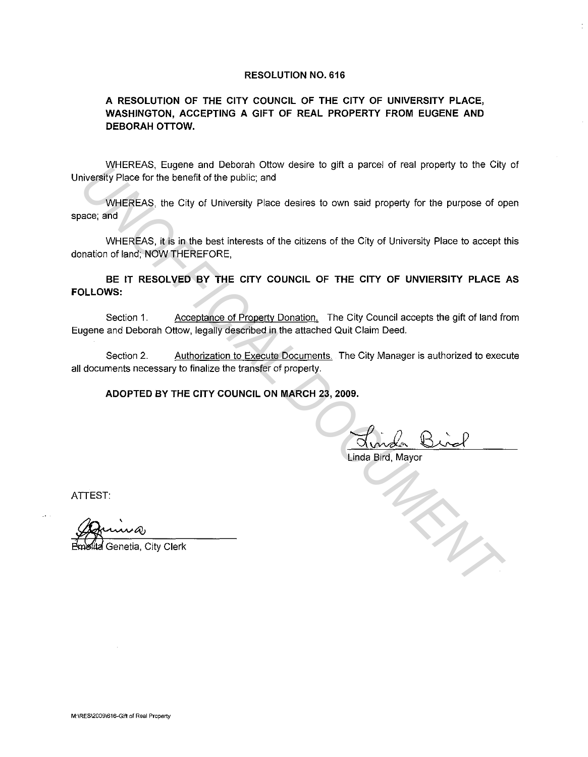## **RESOLUTION NO. 616**

# **A RESOLUTION OF THE CITY COUNCIL OF THE CITY OF UNIVERSITY PLACE, WASHINGTON, ACCEPTING A GIFT OF REAL PROPERTY FROM EUGENE AND DEBORAH OTTOW.**

WHEREAS, Eugene and Deborah Ottow desire to gift a parcel of real property to the City of University Place for the benefit of the public; and

WHEREAS, the City of University Place desires to own said property for the purpose of open space; and **UNIFICENS, England Detail of the public and<br>
WHEREAS, the City of University Place desires to own said property for the purpose of or<br>
WHEREAS, the City of University Place desires to own said property for the purpose of** 

WHEREAS, it is in the best interests of the citizens of the City of University Place to accept this donation of land; NOW THEREFORE,

**BE IT RESOLVED BY THE CITY COUNCIL OF THE CITY OF UNVIERSITY PLACE AS FOLLOWS:** 

Section 1. Acceptance of Property Donation. The City Council accepts the gift of land from Eugene and Deborah Ottow, legally described in the attached Quit Claim Deed.

Section 2. Authorization to Execute Documents. The City Manager is authorized to execute all documents necessary to finalize the transfer of property.

**ADOPTED BY THE CITY COUNCIL ON MARCH** 23, **2009.** 

Linda Bird, Mayor

ATTEST:

Genetia, City Clerk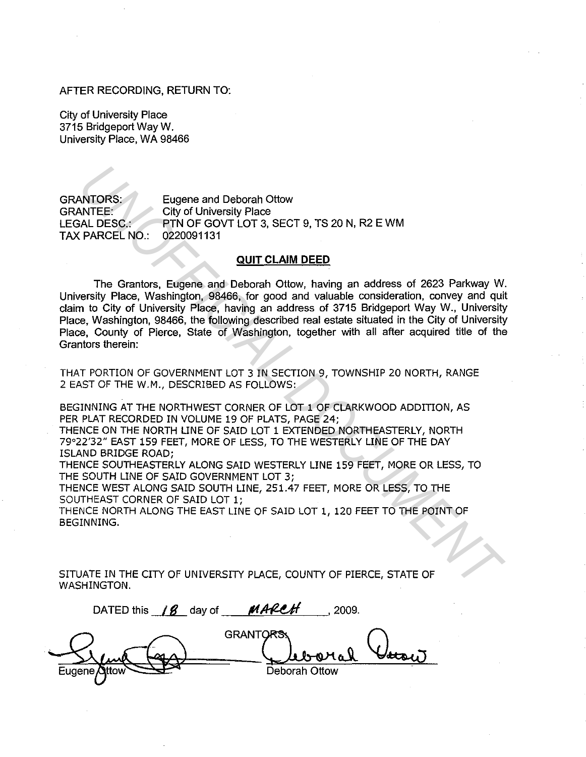# AFTER RECORDING, RETURN TO:

City of University Place 3715 Bridgeport Way W. University Place, WA 98466

GRANTORS: GRANTEE: LEGAL DESC.: TAX PARCEL NO.: Eugene and Deborah Ottow City of University Place PTN OF GOVT LOT 3, SECT 9, TS 20 N, R2 E WM 0220091131

## **QUIT CLAIM DEED**

The Grantors, Eugene and Deborah Ottow, having an address of 2623 Parkway W. University Place, Washington, 98466, for good and valuable consideration, convey and quit claim to City of University Place, having an address of 3715 Bridgeport Way W., University Place, Washington, 98466, the following described real estate situated in the City of University Place, County of Pierce, State of Washington, together with all after acquired title of the Grantors therein: **INTIGRS:**<br> **UNITELE:**<br>
City of University Place<br>
City of University Place<br>
I.AL DESC:<br>
THE GRINDS COVIT LOT 3, SECT 9, TS 20 N, R2 E WM<br>
THE GRINDS. (220091131<br>
The Grantors, Eugene and Deborah Offox, having an address of

THAT PORTION OF GOVERNMENT LOT 3 IN SECTION 9, TOWNSHIP 20 NORTH, RANGE 2 EAST OF THE W.M., DESCRIBED AS FOLLOWS:

BEGINNING AT THE NORTHWEST CORNER OF LOT 1 OF CLARKWOOD ADDITION, AS PER PLAT RECORDED IN VOLUME 19 OF PLATS, PAGE 24:

THENCE ON THE NORTH LINE OF SAID LOT 1 EXTENDED NORTHEASTERLY, NORTH 79°22'32" EAST 159 FEET, MORE OF LESS, TO THE WESTERLY LINE OF THE DAY ISLAND BRIDGE ROAD;

THENCE SOUTHEASTERLY ALONG SAID WESTERLY LINE 159 FEET, MORE OR LESS, TO THE SOUTH LINE OF SAID GOVERNMENT LOT 3;

THENCE WEST ALONG SAID SOUTH LINE, 251.47 FEET, MORE OR LESS, TO THE SOUTHEAST CORNER OF SAID LOT 1;

THENCE NORTH ALONG THE EAST LINE OF SAID LOT 1, 120 FEET TO THE POINT OF BEGINNING.

SITUATE IN THE CITY OF UNIVERSITY PLACE, COUNTY OF PIERCE, STATE OF WASHINGTON.

| DATED this $/8$     | MARP H                                       |
|---------------------|----------------------------------------------|
| day of              | 2009.                                        |
| Eugene <b>Attow</b> | <b>GRANTORS.</b><br>leboral<br>Deborah Ottow |